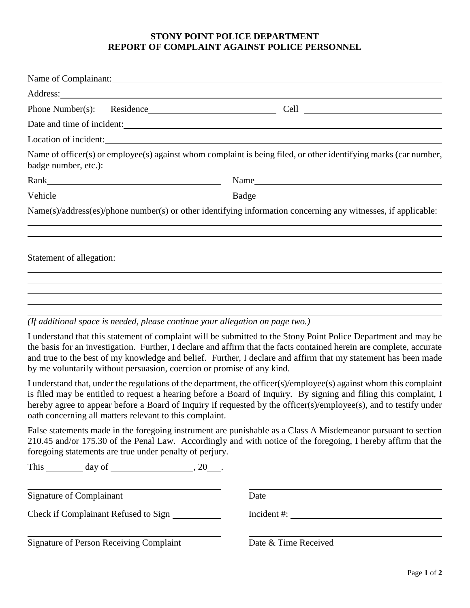## **STONY POINT POLICE DEPARTMENT REPORT OF COMPLAINT AGAINST POLICE PERSONNEL**

|                      | Name of Complainant:       |                                                                                                                  |
|----------------------|----------------------------|------------------------------------------------------------------------------------------------------------------|
|                      |                            |                                                                                                                  |
|                      |                            |                                                                                                                  |
|                      | Date and time of incident: |                                                                                                                  |
|                      | Location of incident:      |                                                                                                                  |
| badge number, etc.): |                            | Name of officer(s) or employee(s) against whom complaint is being filed, or other identifying marks (car number, |
|                      |                            | Name                                                                                                             |
|                      |                            |                                                                                                                  |
|                      |                            | Name(s)/address(es)/phone number(s) or other identifying information concerning any witnesses, if applicable:    |
|                      |                            |                                                                                                                  |
|                      |                            |                                                                                                                  |
|                      |                            |                                                                                                                  |
|                      |                            |                                                                                                                  |
|                      |                            |                                                                                                                  |

*(If additional space is needed, please continue your allegation on page two.)*

I understand that this statement of complaint will be submitted to the Stony Point Police Department and may be the basis for an investigation. Further, I declare and affirm that the facts contained herein are complete, accurate and true to the best of my knowledge and belief. Further, I declare and affirm that my statement has been made by me voluntarily without persuasion, coercion or promise of any kind.

I understand that, under the regulations of the department, the officer(s)/employee(s) against whom this complaint is filed may be entitled to request a hearing before a Board of Inquiry. By signing and filing this complaint, I hereby agree to appear before a Board of Inquiry if requested by the officer(s)/employee(s), and to testify under oath concerning all matters relevant to this complaint.

False statements made in the foregoing instrument are punishable as a Class A Misdemeanor pursuant to section 210.45 and/or 175.30 of the Penal Law. Accordingly and with notice of the foregoing, I hereby affirm that the foregoing statements are true under penalty of perjury.

This day of , 20 .

Signature of Complainant Date

Check if Complainant Refused to Sign Incident #:

Signature of Person Receiving Complaint Date & Time Received